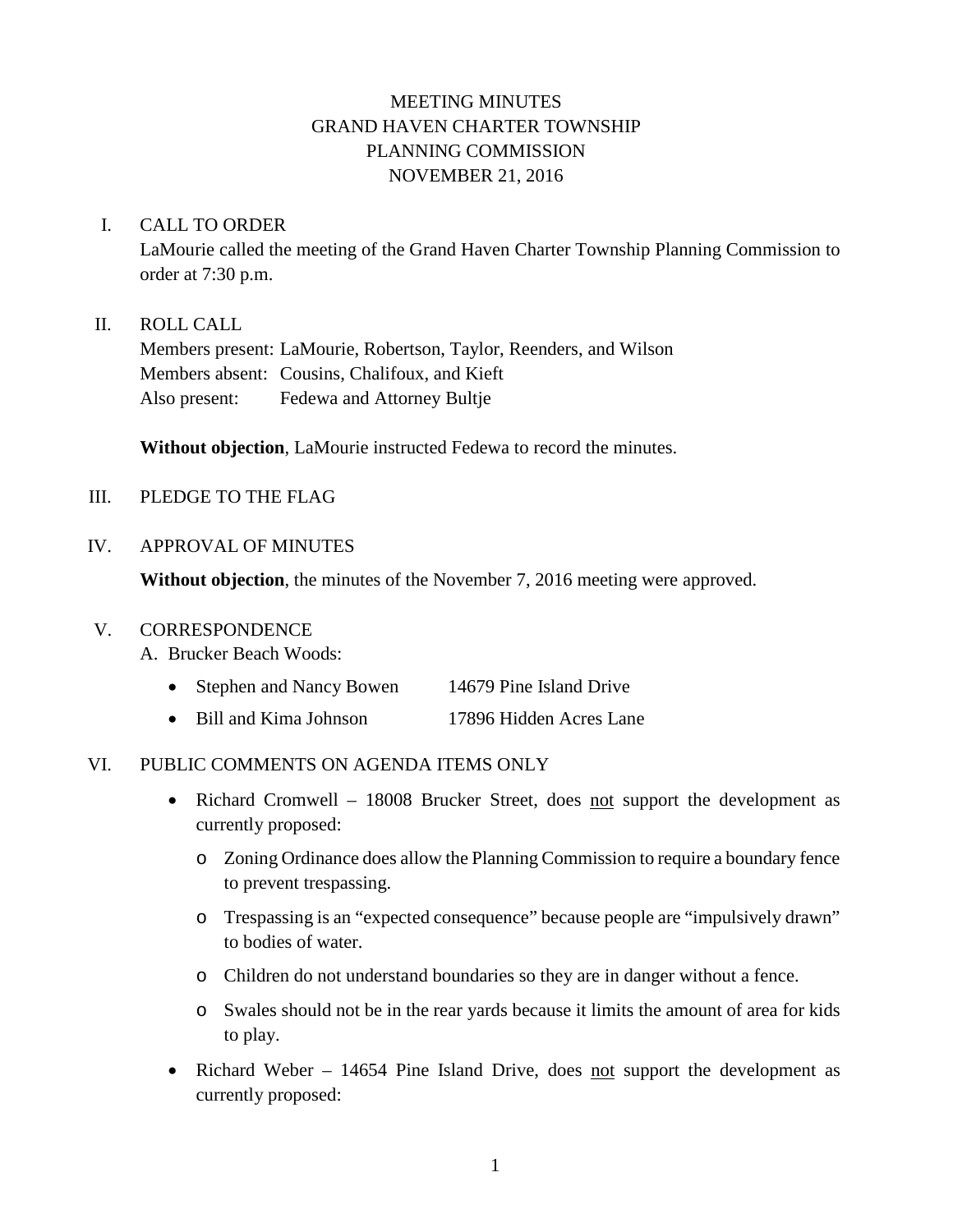# MEETING MINUTES GRAND HAVEN CHARTER TOWNSHIP PLANNING COMMISSION NOVEMBER 21, 2016

## I. CALL TO ORDER

LaMourie called the meeting of the Grand Haven Charter Township Planning Commission to order at 7:30 p.m.

## II. ROLL CALL

Members present: LaMourie, Robertson, Taylor, Reenders, and Wilson Members absent: Cousins, Chalifoux, and Kieft Also present: Fedewa and Attorney Bultje

**Without objection**, LaMourie instructed Fedewa to record the minutes.

## III. PLEDGE TO THE FLAG

## IV. APPROVAL OF MINUTES

**Without objection**, the minutes of the November 7, 2016 meeting were approved.

#### V. CORRESPONDENCE

- A. Brucker Beach Woods:
	- Stephen and Nancy Bowen 14679 Pine Island Drive
	- Bill and Kima Johnson 17896 Hidden Acres Lane

#### VI. PUBLIC COMMENTS ON AGENDA ITEMS ONLY

- Richard Cromwell 18008 Brucker Street, does not support the development as currently proposed:
	- o Zoning Ordinance does allow the Planning Commission to require a boundary fence to prevent trespassing.
	- o Trespassing is an "expected consequence" because people are "impulsively drawn" to bodies of water.
	- o Children do not understand boundaries so they are in danger without a fence.
	- o Swales should not be in the rear yards because it limits the amount of area for kids to play.
- Richard Weber 14654 Pine Island Drive, does not support the development as currently proposed: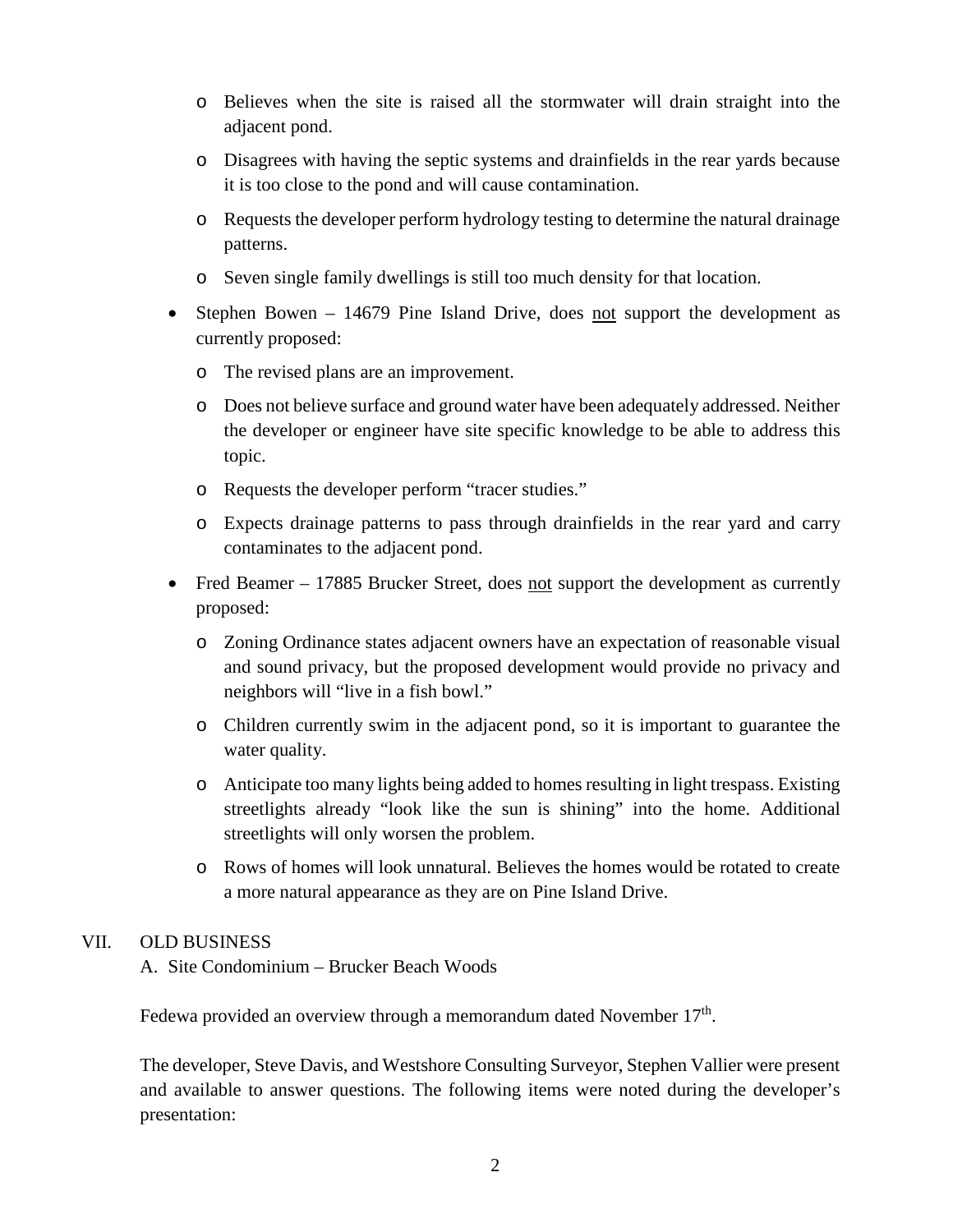- o Believes when the site is raised all the stormwater will drain straight into the adjacent pond.
- o Disagrees with having the septic systems and drainfields in the rear yards because it is too close to the pond and will cause contamination.
- o Requests the developer perform hydrology testing to determine the natural drainage patterns.
- o Seven single family dwellings is still too much density for that location.
- Stephen Bowen 14679 Pine Island Drive, does not support the development as currently proposed:
	- o The revised plans are an improvement.
	- o Does not believe surface and ground water have been adequately addressed. Neither the developer or engineer have site specific knowledge to be able to address this topic.
	- o Requests the developer perform "tracer studies."
	- o Expects drainage patterns to pass through drainfields in the rear yard and carry contaminates to the adjacent pond.
- Fred Beamer 17885 Brucker Street, does not support the development as currently proposed:
	- o Zoning Ordinance states adjacent owners have an expectation of reasonable visual and sound privacy, but the proposed development would provide no privacy and neighbors will "live in a fish bowl."
	- o Children currently swim in the adjacent pond, so it is important to guarantee the water quality.
	- o Anticipate too many lights being added to homes resulting in light trespass. Existing streetlights already "look like the sun is shining" into the home. Additional streetlights will only worsen the problem.
	- o Rows of homes will look unnatural. Believes the homes would be rotated to create a more natural appearance as they are on Pine Island Drive.

#### VII. OLD BUSINESS

A. Site Condominium – Brucker Beach Woods

Fedewa provided an overview through a memorandum dated November  $17<sup>th</sup>$ .

The developer, Steve Davis, and Westshore Consulting Surveyor, Stephen Vallier were present and available to answer questions. The following items were noted during the developer's presentation: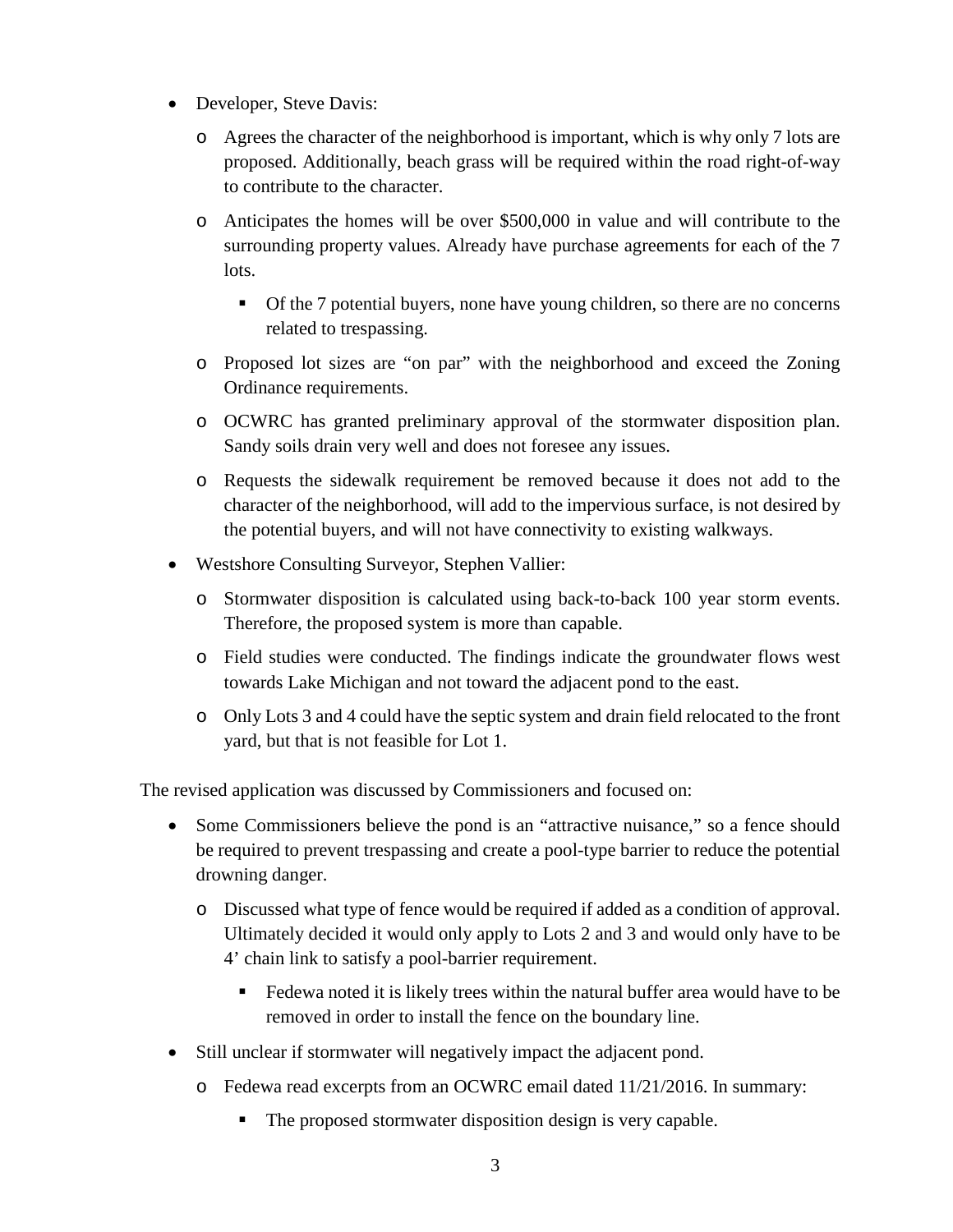- Developer, Steve Davis:
	- o Agrees the character of the neighborhood is important, which is why only 7 lots are proposed. Additionally, beach grass will be required within the road right-of-way to contribute to the character.
	- o Anticipates the homes will be over \$500,000 in value and will contribute to the surrounding property values. Already have purchase agreements for each of the 7 lots.
		- Of the 7 potential buyers, none have young children, so there are no concerns related to trespassing.
	- o Proposed lot sizes are "on par" with the neighborhood and exceed the Zoning Ordinance requirements.
	- o OCWRC has granted preliminary approval of the stormwater disposition plan. Sandy soils drain very well and does not foresee any issues.
	- o Requests the sidewalk requirement be removed because it does not add to the character of the neighborhood, will add to the impervious surface, is not desired by the potential buyers, and will not have connectivity to existing walkways.
- Westshore Consulting Surveyor, Stephen Vallier:
	- o Stormwater disposition is calculated using back-to-back 100 year storm events. Therefore, the proposed system is more than capable.
	- o Field studies were conducted. The findings indicate the groundwater flows west towards Lake Michigan and not toward the adjacent pond to the east.
	- o Only Lots 3 and 4 could have the septic system and drain field relocated to the front yard, but that is not feasible for Lot 1.

The revised application was discussed by Commissioners and focused on:

- Some Commissioners believe the pond is an "attractive nuisance," so a fence should be required to prevent trespassing and create a pool-type barrier to reduce the potential drowning danger.
	- o Discussed what type of fence would be required if added as a condition of approval. Ultimately decided it would only apply to Lots 2 and 3 and would only have to be 4' chain link to satisfy a pool-barrier requirement.
		- Fedewa noted it is likely trees within the natural buffer area would have to be removed in order to install the fence on the boundary line.
- Still unclear if stormwater will negatively impact the adjacent pond.
	- o Fedewa read excerpts from an OCWRC email dated 11/21/2016. In summary:
		- The proposed stormwater disposition design is very capable.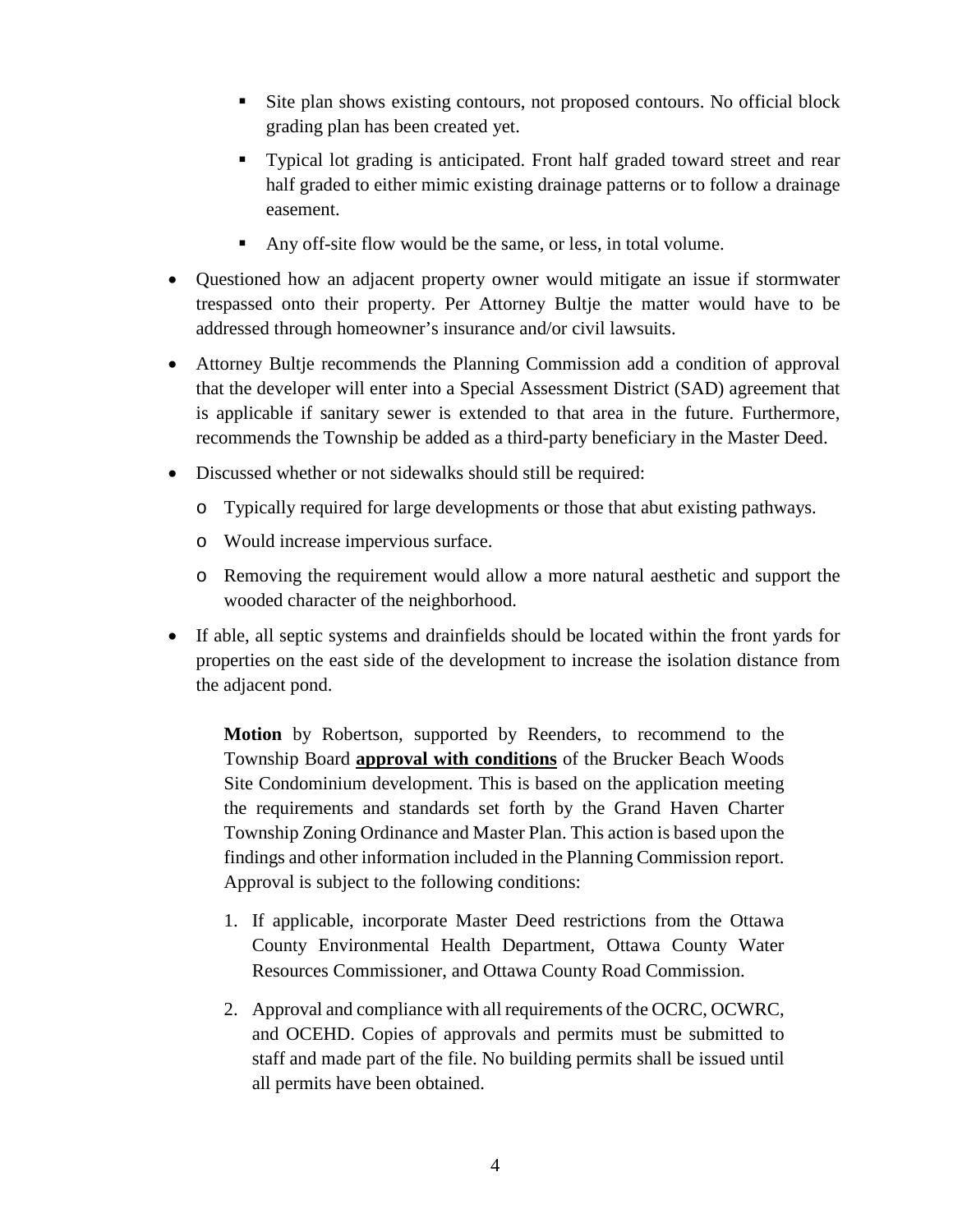- Site plan shows existing contours, not proposed contours. No official block grading plan has been created yet.
- Typical lot grading is anticipated. Front half graded toward street and rear half graded to either mimic existing drainage patterns or to follow a drainage easement.
- Any off-site flow would be the same, or less, in total volume.
- Questioned how an adjacent property owner would mitigate an issue if stormwater trespassed onto their property. Per Attorney Bultje the matter would have to be addressed through homeowner's insurance and/or civil lawsuits.
- Attorney Bultje recommends the Planning Commission add a condition of approval that the developer will enter into a Special Assessment District (SAD) agreement that is applicable if sanitary sewer is extended to that area in the future. Furthermore, recommends the Township be added as a third-party beneficiary in the Master Deed.
- Discussed whether or not sidewalks should still be required:
	- o Typically required for large developments or those that abut existing pathways.
	- o Would increase impervious surface.
	- o Removing the requirement would allow a more natural aesthetic and support the wooded character of the neighborhood.
- If able, all septic systems and drainfields should be located within the front yards for properties on the east side of the development to increase the isolation distance from the adjacent pond.

**Motion** by Robertson, supported by Reenders, to recommend to the Township Board **approval with conditions** of the Brucker Beach Woods Site Condominium development. This is based on the application meeting the requirements and standards set forth by the Grand Haven Charter Township Zoning Ordinance and Master Plan. This action is based upon the findings and other information included in the Planning Commission report. Approval is subject to the following conditions:

- 1. If applicable, incorporate Master Deed restrictions from the Ottawa County Environmental Health Department, Ottawa County Water Resources Commissioner, and Ottawa County Road Commission.
- 2. Approval and compliance with all requirements of the OCRC, OCWRC, and OCEHD. Copies of approvals and permits must be submitted to staff and made part of the file. No building permits shall be issued until all permits have been obtained.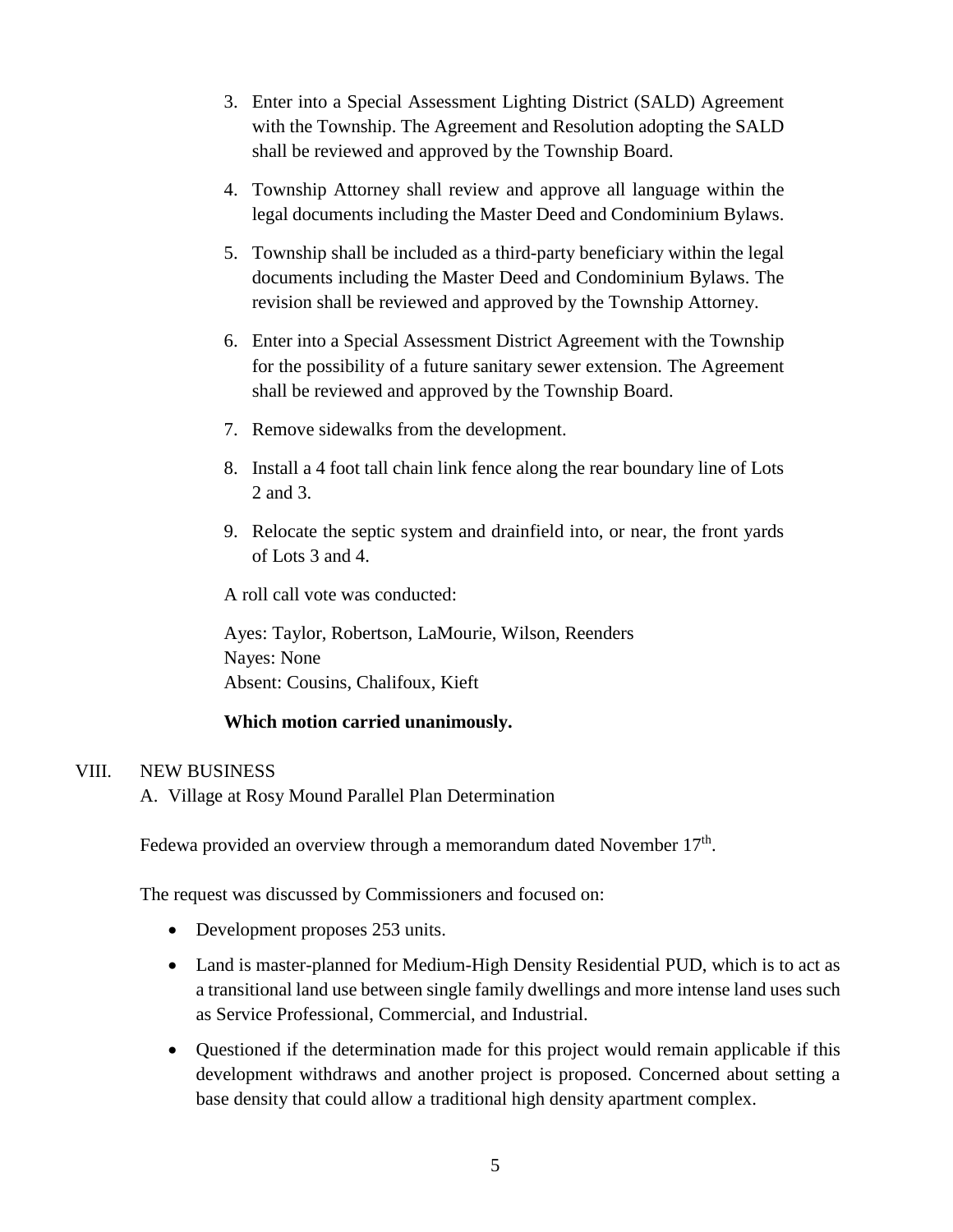- 3. Enter into a Special Assessment Lighting District (SALD) Agreement with the Township. The Agreement and Resolution adopting the SALD shall be reviewed and approved by the Township Board.
- 4. Township Attorney shall review and approve all language within the legal documents including the Master Deed and Condominium Bylaws.
- 5. Township shall be included as a third-party beneficiary within the legal documents including the Master Deed and Condominium Bylaws. The revision shall be reviewed and approved by the Township Attorney.
- 6. Enter into a Special Assessment District Agreement with the Township for the possibility of a future sanitary sewer extension. The Agreement shall be reviewed and approved by the Township Board.
- 7. Remove sidewalks from the development.
- 8. Install a 4 foot tall chain link fence along the rear boundary line of Lots 2 and 3.
- 9. Relocate the septic system and drainfield into, or near, the front yards of Lots 3 and 4.

A roll call vote was conducted:

Ayes: Taylor, Robertson, LaMourie, Wilson, Reenders Nayes: None Absent: Cousins, Chalifoux, Kieft

#### **Which motion carried unanimously.**

#### VIII. NEW BUSINESS

A. Village at Rosy Mound Parallel Plan Determination

Fedewa provided an overview through a memorandum dated November 17<sup>th</sup>.

The request was discussed by Commissioners and focused on:

- Development proposes 253 units.
- Land is master-planned for Medium-High Density Residential PUD, which is to act as a transitional land use between single family dwellings and more intense land uses such as Service Professional, Commercial, and Industrial.
- Questioned if the determination made for this project would remain applicable if this development withdraws and another project is proposed. Concerned about setting a base density that could allow a traditional high density apartment complex.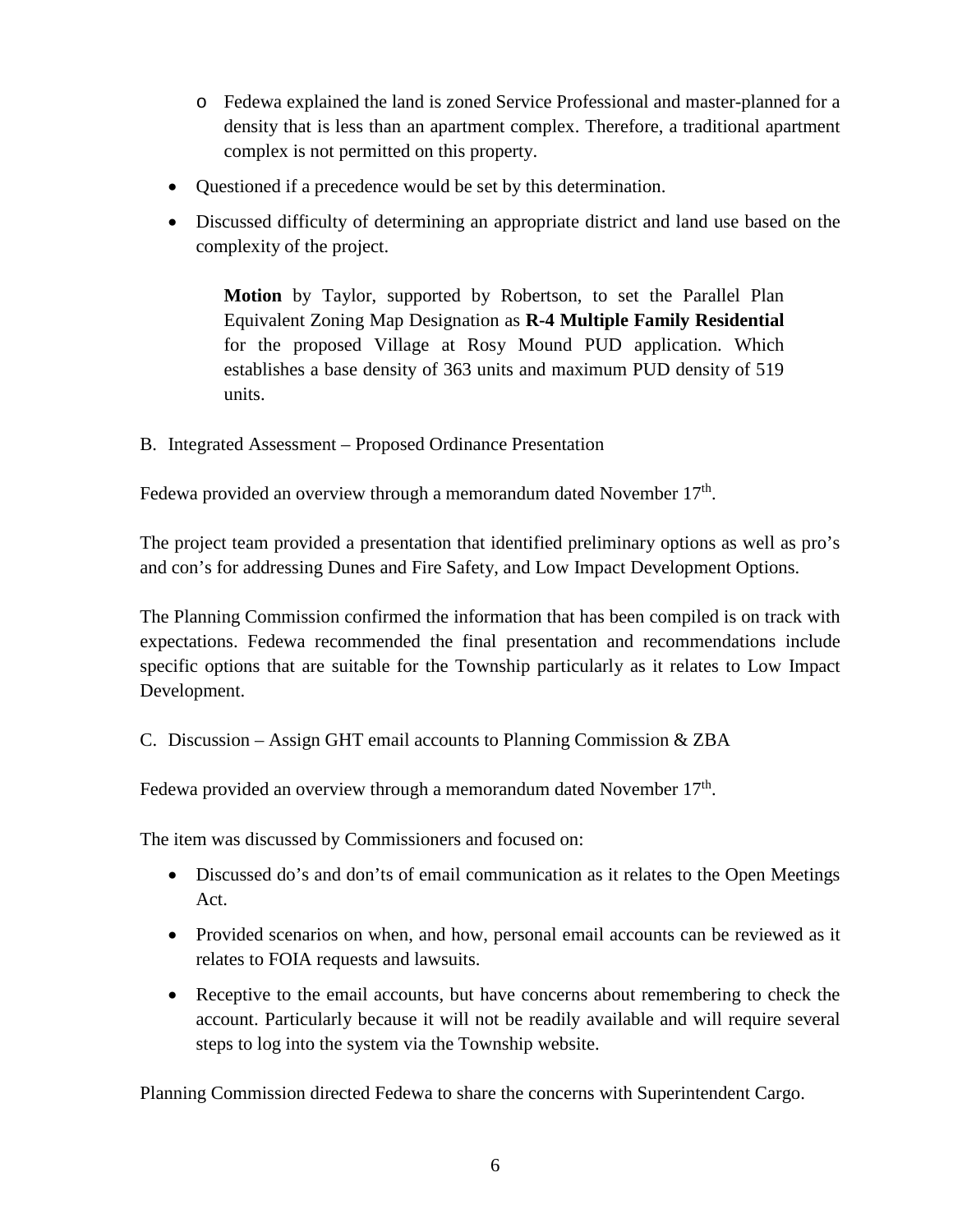- o Fedewa explained the land is zoned Service Professional and master-planned for a density that is less than an apartment complex. Therefore, a traditional apartment complex is not permitted on this property.
- Questioned if a precedence would be set by this determination.
- Discussed difficulty of determining an appropriate district and land use based on the complexity of the project.

**Motion** by Taylor, supported by Robertson, to set the Parallel Plan Equivalent Zoning Map Designation as **R-4 Multiple Family Residential** for the proposed Village at Rosy Mound PUD application. Which establishes a base density of 363 units and maximum PUD density of 519 units.

B. Integrated Assessment – Proposed Ordinance Presentation

Fedewa provided an overview through a memorandum dated November  $17<sup>th</sup>$ .

The project team provided a presentation that identified preliminary options as well as pro's and con's for addressing Dunes and Fire Safety, and Low Impact Development Options.

The Planning Commission confirmed the information that has been compiled is on track with expectations. Fedewa recommended the final presentation and recommendations include specific options that are suitable for the Township particularly as it relates to Low Impact Development.

C. Discussion – Assign GHT email accounts to Planning Commission & ZBA

Fedewa provided an overview through a memorandum dated November  $17<sup>th</sup>$ .

The item was discussed by Commissioners and focused on:

- Discussed do's and don'ts of email communication as it relates to the Open Meetings Act.
- Provided scenarios on when, and how, personal email accounts can be reviewed as it relates to FOIA requests and lawsuits.
- Receptive to the email accounts, but have concerns about remembering to check the account. Particularly because it will not be readily available and will require several steps to log into the system via the Township website.

Planning Commission directed Fedewa to share the concerns with Superintendent Cargo.